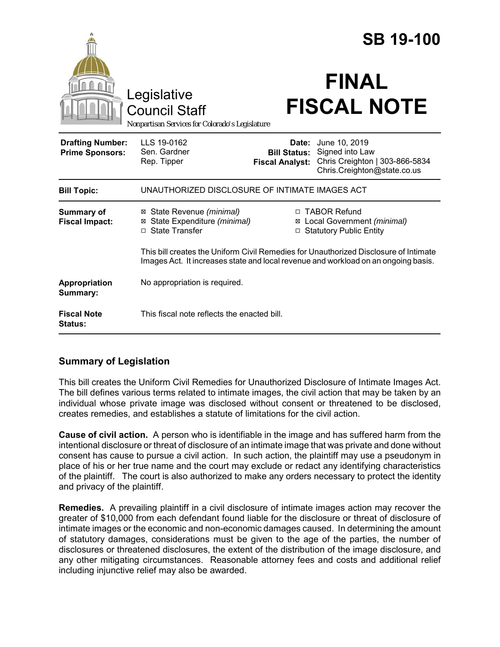|                                                   |                                                                                                                                                                            | <b>SB 19-100</b>                |                                                                                                                       |
|---------------------------------------------------|----------------------------------------------------------------------------------------------------------------------------------------------------------------------------|---------------------------------|-----------------------------------------------------------------------------------------------------------------------|
|                                                   | Legislative<br><b>Council Staff</b><br>Nonpartisan Services for Colorado's Legislature                                                                                     |                                 | <b>FINAL</b><br><b>FISCAL NOTE</b>                                                                                    |
| <b>Drafting Number:</b><br><b>Prime Sponsors:</b> | LLS 19-0162<br>Sen. Gardner<br>Rep. Tipper                                                                                                                                 | Date:<br><b>Fiscal Analyst:</b> | June 10, 2019<br><b>Bill Status:</b> Signed into Law<br>Chris Creighton   303-866-5834<br>Chris.Creighton@state.co.us |
| <b>Bill Topic:</b>                                | UNAUTHORIZED DISCLOSURE OF INTIMATE IMAGES ACT                                                                                                                             |                                 |                                                                                                                       |
| <b>Summary of</b><br><b>Fiscal Impact:</b>        | ⊠ State Revenue (minimal)<br>State Expenditure (minimal)<br>⊠<br>□ State Transfer                                                                                          | $\Box$                          | □ TABOR Refund<br>⊠ Local Government (minimal)<br><b>Statutory Public Entity</b>                                      |
|                                                   | This bill creates the Uniform Civil Remedies for Unauthorized Disclosure of Intimate<br>Images Act. It increases state and local revenue and workload on an ongoing basis. |                                 |                                                                                                                       |
| Appropriation<br>Summary:                         | No appropriation is required.                                                                                                                                              |                                 |                                                                                                                       |
| <b>Fiscal Note</b><br>Status:                     | This fiscal note reflects the enacted bill.                                                                                                                                |                                 |                                                                                                                       |

### **Summary of Legislation**

This bill creates the Uniform Civil Remedies for Unauthorized Disclosure of Intimate Images Act. The bill defines various terms related to intimate images, the civil action that may be taken by an individual whose private image was disclosed without consent or threatened to be disclosed, creates remedies, and establishes a statute of limitations for the civil action.

**Cause of civil action.** A person who is identifiable in the image and has suffered harm from the intentional disclosure or threat of disclosure of an intimate image that was private and done without consent has cause to pursue a civil action. In such action, the plaintiff may use a pseudonym in place of his or her true name and the court may exclude or redact any identifying characteristics of the plaintiff. The court is also authorized to make any orders necessary to protect the identity and privacy of the plaintiff.

**Remedies.** A prevailing plaintiff in a civil disclosure of intimate images action may recover the greater of \$10,000 from each defendant found liable for the disclosure or threat of disclosure of intimate images or the economic and non-economic damages caused. In determining the amount of statutory damages, considerations must be given to the age of the parties, the number of disclosures or threatened disclosures, the extent of the distribution of the image disclosure, and any other mitigating circumstances. Reasonable attorney fees and costs and additional relief including injunctive relief may also be awarded.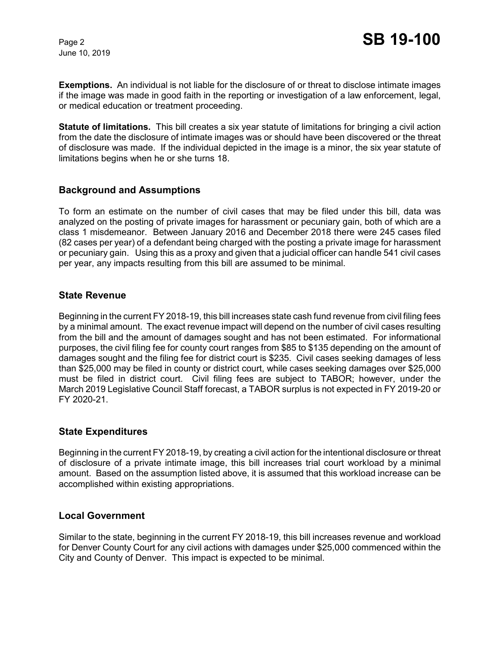June 10, 2019

**Exemptions.** An individual is not liable for the disclosure of or threat to disclose intimate images if the image was made in good faith in the reporting or investigation of a law enforcement, legal, or medical education or treatment proceeding.

**Statute of limitations.** This bill creates a six year statute of limitations for bringing a civil action from the date the disclosure of intimate images was or should have been discovered or the threat of disclosure was made. If the individual depicted in the image is a minor, the six year statute of limitations begins when he or she turns 18.

#### **Background and Assumptions**

To form an estimate on the number of civil cases that may be filed under this bill, data was analyzed on the posting of private images for harassment or pecuniary gain, both of which are a class 1 misdemeanor. Between January 2016 and December 2018 there were 245 cases filed (82 cases per year) of a defendant being charged with the posting a private image for harassment or pecuniary gain. Using this as a proxy and given that a judicial officer can handle 541 civil cases per year, any impacts resulting from this bill are assumed to be minimal.

#### **State Revenue**

Beginning in the current FY 2018-19, this bill increases state cash fund revenue from civil filing fees by a minimal amount. The exact revenue impact will depend on the number of civil cases resulting from the bill and the amount of damages sought and has not been estimated. For informational purposes, the civil filing fee for county court ranges from \$85 to \$135 depending on the amount of damages sought and the filing fee for district court is \$235. Civil cases seeking damages of less than \$25,000 may be filed in county or district court, while cases seeking damages over \$25,000 must be filed in district court. Civil filing fees are subject to TABOR; however, under the March 2019 Legislative Council Staff forecast, a TABOR surplus is not expected in FY 2019-20 or FY 2020-21.

#### **State Expenditures**

Beginning in the current FY 2018-19, by creating a civil action for the intentional disclosure or threat of disclosure of a private intimate image, this bill increases trial court workload by a minimal amount. Based on the assumption listed above, it is assumed that this workload increase can be accomplished within existing appropriations.

#### **Local Government**

Similar to the state, beginning in the current FY 2018-19, this bill increases revenue and workload for Denver County Court for any civil actions with damages under \$25,000 commenced within the City and County of Denver. This impact is expected to be minimal.